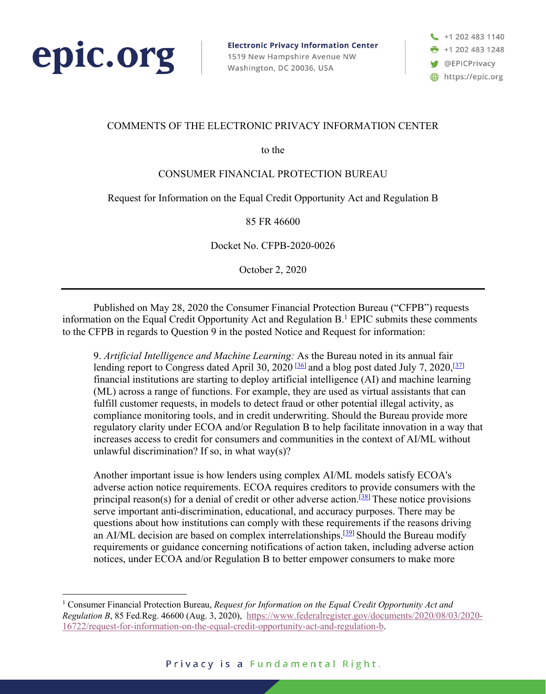

**Electronic Privacy Information Center** 1519 New Hampshire Avenue NW Washington, DC 20036, USA

+1 202 483 1140 +1 202 483 1248 **W** @EPICPrivacy https://epic.org

# COMMENTS OF THE ELECTRONIC PRIVACY INFORMATION CENTER

to the

# CONSUMER FINANCIAL PROTECTION BUREAU

#### Request for Information on the Equal Credit Opportunity Act and Regulation B

#### 85 FR 46600

Docket No. CFPB-2020-0026

October 2, 2020

Published on May 28, 2020 the Consumer Financial Protection Bureau ("CFPB") requests information on the Equal Credit Opportunity Act and Regulation B. <sup>1</sup> EPIC submits these comments to the CFPB in regards to Question 9 in the posted Notice and Request for information:

9. *Artificial Intelligence and Machine Learning:* As the Bureau noted in its annual fair lending report to Congress dated April 30, 2020<sup>[36]</sup> and a blog post dated July 7, 2020,<sup>[37]</sup> financial institutions are starting to deploy artificial intelligence (AI) and machine learning (ML) across a range of functions. For example, they are used as virtual assistants that can fulfill customer requests, in models to detect fraud or other potential illegal activity, as compliance monitoring tools, and in credit underwriting. Should the Bureau provide more regulatory clarity under ECOA and/or Regulation B to help facilitate innovation in a way that increases access to credit for consumers and communities in the context of AI/ML without unlawful discrimination? If so, in what way $(s)$ ?

Another important issue is how lenders using complex AI/ML models satisfy ECOA's adverse action notice requirements. ECOA requires creditors to provide consumers with the principal reason(s) for a denial of credit or other adverse action.<sup>[38]</sup> These notice provisions serve important anti-discrimination, educational, and accuracy purposes. There may be questions about how institutions can comply with these requirements if the reasons driving an AI/ML decision are based on complex interrelationships.<sup>[39]</sup> Should the Bureau modify requirements or guidance concerning notifications of action taken, including adverse action notices, under ECOA and/or Regulation B to better empower consumers to make more

<sup>1</sup> Consumer Financial Protection Bureau, *Request for Information on the Equal Credit Opportunity Act and Regulation B*, 85 Fed.Reg. 46600 (Aug. 3, 2020), https://www.federalregister.gov/documents/2020/08/03/2020- 16722/request-for-information-on-the-equal-credit-opportunity-act-and-regulation-b.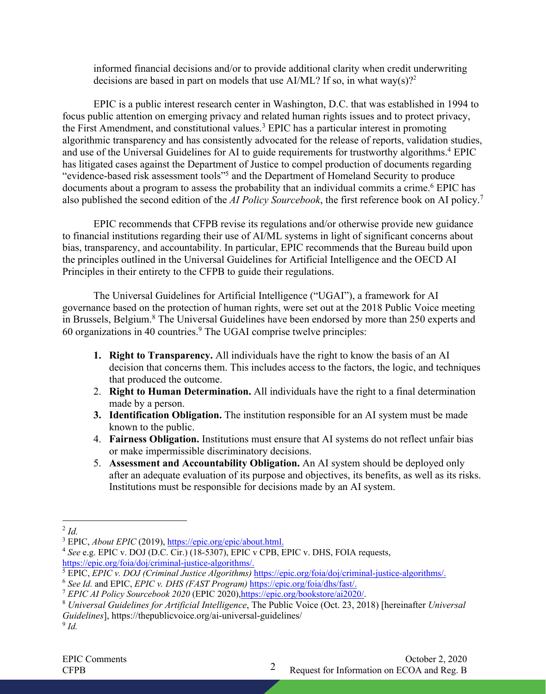informed financial decisions and/or to provide additional clarity when credit underwriting decisions are based in part on models that use AI/ML? If so, in what way(s)?<sup>2</sup>

EPIC is a public interest research center in Washington, D.C. that was established in 1994 to focus public attention on emerging privacy and related human rights issues and to protect privacy, the First Amendment, and constitutional values.<sup>3</sup> EPIC has a particular interest in promoting algorithmic transparency and has consistently advocated for the release of reports, validation studies, and use of the Universal Guidelines for AI to guide requirements for trustworthy algorithms.<sup>4</sup> EPIC has litigated cases against the Department of Justice to compel production of documents regarding "evidence-based risk assessment tools"5 and the Department of Homeland Security to produce documents about a program to assess the probability that an individual commits a crime.6 EPIC has also published the second edition of the *AI Policy Sourcebook*, the first reference book on AI policy.7

EPIC recommends that CFPB revise its regulations and/or otherwise provide new guidance to financial institutions regarding their use of AI/ML systems in light of significant concerns about bias, transparency, and accountability. In particular, EPIC recommends that the Bureau build upon the principles outlined in the Universal Guidelines for Artificial Intelligence and the OECD AI Principles in their entirety to the CFPB to guide their regulations.

The Universal Guidelines for Artificial Intelligence ("UGAI"), a framework for AI governance based on the protection of human rights, were set out at the 2018 Public Voice meeting in Brussels, Belgium.<sup>8</sup> The Universal Guidelines have been endorsed by more than 250 experts and  $60$  organizations in 40 countries.<sup>9</sup> The UGAI comprise twelve principles:

- **1. Right to Transparency.** All individuals have the right to know the basis of an AI decision that concerns them. This includes access to the factors, the logic, and techniques that produced the outcome.
- 2. **Right to Human Determination.** All individuals have the right to a final determination made by a person.
- **3. Identification Obligation.** The institution responsible for an AI system must be made known to the public.
- 4. **Fairness Obligation.** Institutions must ensure that AI systems do not reflect unfair bias or make impermissible discriminatory decisions.
- 5. **Assessment and Accountability Obligation.** An AI system should be deployed only after an adequate evaluation of its purpose and objectives, its benefits, as well as its risks. Institutions must be responsible for decisions made by an AI system.

 $2$  *Id.* 

<sup>&</sup>lt;sup>3</sup> EPIC, *About EPIC* (2019), https://epic.org/epic/about.html.

<sup>4</sup> *See* e.g. EPIC v. DOJ (D.C. Cir.) (18-5307), EPIC v CPB, EPIC v. DHS, FOIA requests,

https://epic.org/foia/doj/criminal-justice-algorithms/.<br>
<sup>5</sup> EPIC, *EPIC v. DOJ (Criminal Justice Algorithms)* https://epic.org/foia/doj/criminal-justice-algorithms/.<br>
<sup>6</sup> See Id. and EPIC, *EPIC v. DHS (FAST Program)* htt

<sup>&</sup>lt;sup>7</sup> EPIC AI Policy Sourcebook 2020 (EPIC 2020), https://epic.org/bookstore/ai2020/.<br><sup>8</sup> Universal Guidelines for Artificial Intelligence, The Public Voice (Oct. 23, 2018) [hereinafter Universal *Guidelines*], https://thepublicvoice.org/ai-universal-guidelines/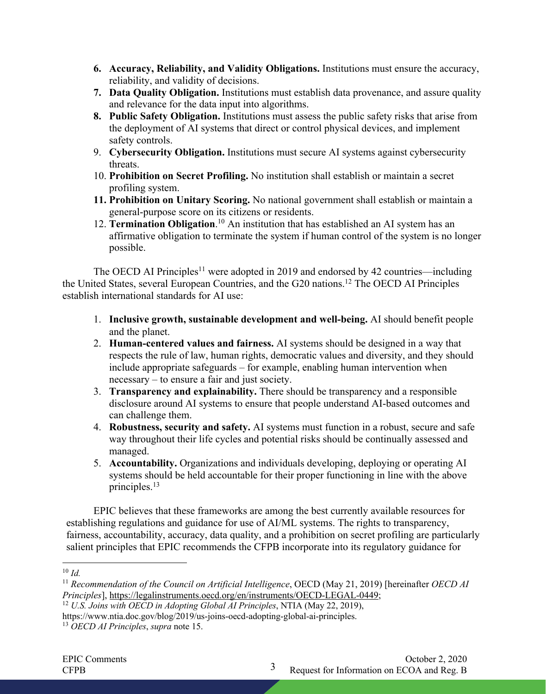- **6. Accuracy, Reliability, and Validity Obligations.** Institutions must ensure the accuracy, reliability, and validity of decisions.
- **7. Data Quality Obligation.** Institutions must establish data provenance, and assure quality and relevance for the data input into algorithms.
- **8. Public Safety Obligation.** Institutions must assess the public safety risks that arise from the deployment of AI systems that direct or control physical devices, and implement safety controls.
- 9. **Cybersecurity Obligation.** Institutions must secure AI systems against cybersecurity threats.
- 10. **Prohibition on Secret Profiling.** No institution shall establish or maintain a secret profiling system.
- **11. Prohibition on Unitary Scoring.** No national government shall establish or maintain a general-purpose score on its citizens or residents.
- 12. **Termination Obligation**.<sup>10</sup> An institution that has established an AI system has an affirmative obligation to terminate the system if human control of the system is no longer possible.

The OECD AI Principles<sup>11</sup> were adopted in 2019 and endorsed by 42 countries—including the United States, several European Countries, and the G20 nations.12 The OECD AI Principles establish international standards for AI use:

- 1. **Inclusive growth, sustainable development and well-being.** AI should benefit people and the planet.
- 2. **Human-centered values and fairness.** AI systems should be designed in a way that respects the rule of law, human rights, democratic values and diversity, and they should include appropriate safeguards – for example, enabling human intervention when necessary – to ensure a fair and just society.
- 3. **Transparency and explainability.** There should be transparency and a responsible disclosure around AI systems to ensure that people understand AI-based outcomes and can challenge them.
- 4. **Robustness, security and safety.** AI systems must function in a robust, secure and safe way throughout their life cycles and potential risks should be continually assessed and managed.
- 5. **Accountability.** Organizations and individuals developing, deploying or operating AI systems should be held accountable for their proper functioning in line with the above principles.13

EPIC believes that these frameworks are among the best currently available resources for establishing regulations and guidance for use of AI/ML systems. The rights to transparency, fairness, accountability, accuracy, data quality, and a prohibition on secret profiling are particularly salient principles that EPIC recommends the CFPB incorporate into its regulatory guidance for

<sup>12</sup> *U.S. Joins with OECD in Adopting Global AI Principles*, NTIA (May 22, 2019),

 $10 \,$ *Id.* 

<sup>11</sup> *Recommendation of the Council on Artificial Intelligence*, OECD (May 21, 2019) [hereinafter *OECD AI Principles*], https://legalinstruments.oecd.org/en/instruments/OECD-LEGAL-0449;

https://www.ntia.doc.gov/blog/2019/us-joins-oecd-adopting-global-ai-principles.

<sup>13</sup> *OECD AI Principles*, *supra* note 15.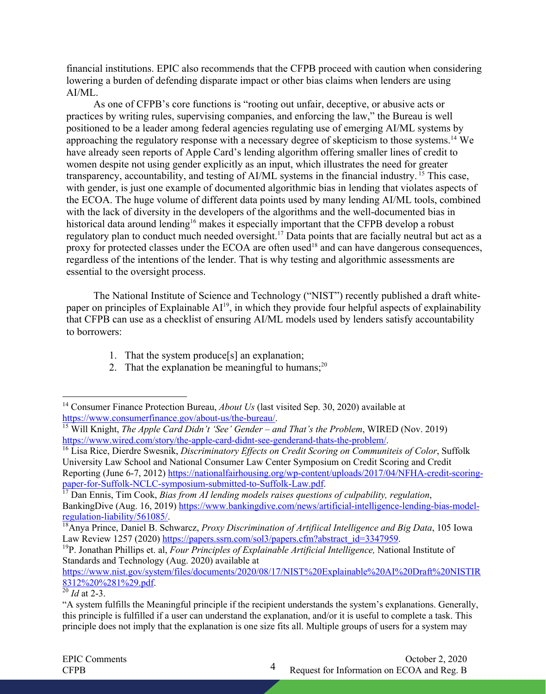financial institutions. EPIC also recommends that the CFPB proceed with caution when considering lowering a burden of defending disparate impact or other bias claims when lenders are using AI/ML.

As one of CFPB's core functions is "rooting out unfair, deceptive, or abusive acts or practices by writing rules, supervising companies, and enforcing the law," the Bureau is well positioned to be a leader among federal agencies regulating use of emerging AI/ML systems by approaching the regulatory response with a necessary degree of skepticism to those systems. <sup>14</sup> We have already seen reports of Apple Card's lending algorithm offering smaller lines of credit to women despite not using gender explicitly as an input, which illustrates the need for greater transparency, accountability, and testing of AI/ML systems in the financial industry. <sup>15</sup> This case, with gender, is just one example of documented algorithmic bias in lending that violates aspects of the ECOA. The huge volume of different data points used by many lending AI/ML tools, combined with the lack of diversity in the developers of the algorithms and the well-documented bias in historical data around lending<sup>16</sup> makes it especially important that the CFPB develop a robust regulatory plan to conduct much needed oversight.<sup>17</sup> Data points that are facially neutral but act as a proxy for protected classes under the ECOA are often used<sup>18</sup> and can have dangerous consequences, regardless of the intentions of the lender. That is why testing and algorithmic assessments are essential to the oversight process.

The National Institute of Science and Technology ("NIST") recently published a draft whitepaper on principles of Explainable  $AI<sup>19</sup>$ , in which they provide four helpful aspects of explainability that CFPB can use as a checklist of ensuring AI/ML models used by lenders satisfy accountability to borrowers:

- 1. That the system produce[s] an explanation;
- 2. That the explanation be meaningful to humans;<sup>20</sup>

https://www.nist.gov/system/files/documents/2020/08/17/NIST%20Explainable%20AI%20Draft%20NISTIR 8312%20%281%29.pdf.<br><sup>20</sup> *Id* at 2-3.

<sup>&</sup>lt;sup>14</sup> Consumer Finance Protection Bureau, *About Us* (last visited Sep. 30, 2020) available at https://www.consumerfinance.gov/about-us/the-bureau/.

<sup>15</sup> Will Knight, *The Apple Card Didn't 'See' Gender – and That's the Problem*, WIRED (Nov. 2019) https://www.wired.com/story/the-apple-card-didnt-see-genderand-thats-the-problem/. 16 Lisa Rice, Dierdre Swesnik, *Discriminatory Effects on Credit Scoring on Communiteis of Color*, Suffolk

University Law School and National Consumer Law Center Symposium on Credit Scoring and Credit Reporting (June 6-7, 2012) https://nationalfairhousing.org/wp-content/uploads/2017/04/NFHA-credit-scoring-<br>paper-for-Suffolk-NCLC-symposium-submitted-to-Suffolk-Law.pdf.

<sup>&</sup>lt;sup>17</sup> Dan Ennis, Tim Cook, *Bias from AI lending models raises questions of culpability, regulation*, BankingDive (Aug. 16, 2019) https://www.bankingdive.com/news/artificial-intelligence-lending-bias-modelregulation-liability/561085/.<br><sup>18</sup>Anya Prince, Daniel B. Schwarcz, *Proxy Discrimination of Artifiical Intelligence and Big Data*, 105 Iowa

Law Review 1257 (2020) https://papers.ssrn.com/sol3/papers.cfm?abstract\_id=3347959.<br><sup>19</sup>P. Jonathan Phillips et. al, *Four Principles of Explainable Artificial Intelligence*, National Institute of

Standards and Technology (Aug. 2020) available at

<sup>&</sup>quot;A system fulfills the Meaningful principle if the recipient understands the system's explanations. Generally, this principle is fulfilled if a user can understand the explanation, and/or it is useful to complete a task. This principle does not imply that the explanation is one size fits all. Multiple groups of users for a system may